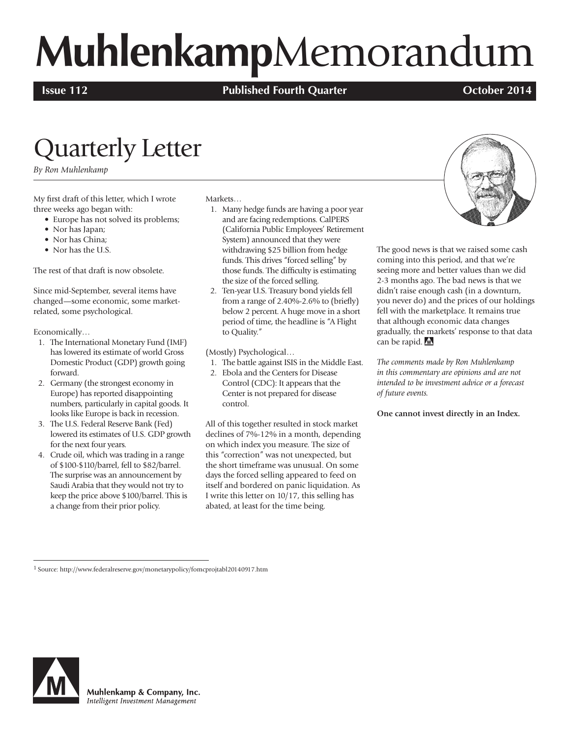# **Muhlenkamp**Memorandum

**Issue 112 Published Fourth Quarter COLOGET 2014 October 2014** 

## Quarterly Letter

*By Ron Muhlenkamp*

My first draft of this letter, which I wrote three weeks ago began with:

- Europe has not solved its problems;
- Nor has Japan;
- Nor has China;
- Nor has the U.S.

The rest of that draft is now obsolete.

Since mid-September, several items have changed—some economic, some marketrelated, some psychological.

Economically…

- 1. The International Monetary Fund (IMF) has lowered its estimate of world Gross Domestic Product (GDP) growth going forward.
- 2. Germany (the strongest economy in Europe) has reported disappointing numbers, particularly in capital goods. It looks like Europe is back in recession.
- 3. The U.S. Federal Reserve Bank (Fed) lowered its estimates of U.S. GDP growth for the next four years.
- 4. Crude oil, which was trading in a range of \$100-\$110/barrel, fell to \$82/barrel. The surprise was an announcement by Saudi Arabia that they would not try to keep the price above \$100/barrel. This is a change from their prior policy.

#### Markets…

- 1. Many hedge funds are having a poor year and are facing redemptions. CalPERS (California Public Employees' Retirement System) announced that they were withdrawing \$25 billion from hedge funds. This drives "forced selling" by those funds. The difficulty is estimating the size of the forced selling.
- 2. Ten-year U.S. Treasury bond yields fell from a range of 2.40%-2.6% to (briefly) below 2 percent. A huge move in a short period of time, the headline is "A Flight to Quality."

(Mostly) Psychological…

- 1. The battle against ISIS in the Middle East.
- 2. Ebola and the Centers for Disease Control (CDC): It appears that the Center is not prepared for disease control.

All of this together resulted in stock market declines of 7%-12% in a month, depending on which index you measure. The size of this "correction" was not unexpected, but the short timeframe was unusual. On some days the forced selling appeared to feed on itself and bordered on panic liquidation. As I write this letter on 10/17, this selling has abated, at least for the time being.



The good news is that we raised some cash coming into this period, and that we're seeing more and better values than we did 2-3 months ago. The bad news is that we didn't raise enough cash (in a downturn, you never do) and the prices of our holdings fell with the marketplace. It remains true that although economic data changes gradually, the markets' response to that data can be rapid. M

*The comments made by Ron Muhlenkamp in this commentary are opinions and are not intended to be investment advice or a forecast of future events.*

**One cannot invest directly in an Index.**

1 Source: http://www.federalreserve.gov/monetarypolicy/fomcprojtabl20140917.htm



Muhlenkamp & Company, Inc. Intelligent Investment Management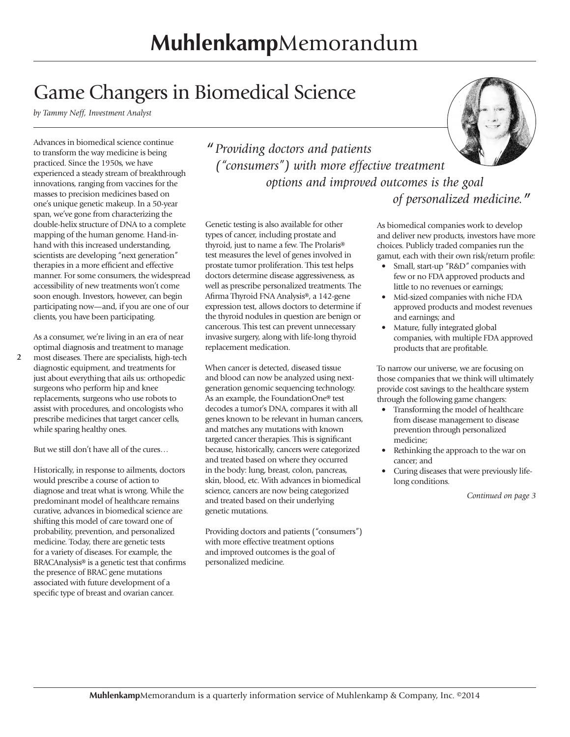### Game Changers in Biomedical Science

*by Tammy Neff, Investment Analyst*

Advances in biomedical science continue to transform the way medicine is being practiced. Since the 1950s, we have experienced a steady stream of breakthrough innovations, ranging from vaccines for the masses to precision medicines based on one's unique genetic makeup. In a 50-year span, we've gone from characterizing the double-helix structure of DNA to a complete mapping of the human genome. Hand-inhand with this increased understanding, scientists are developing "next generation" therapies in a more efficient and effective manner. For some consumers, the widespread accessibility of new treatments won't come soon enough. Investors, however, can begin participating now—and, if you are one of our clients, you have been participating.

As a consumer, we're living in an era of near optimal diagnosis and treatment to manage most diseases. There are specialists, high-tech diagnostic equipment, and treatments for just about everything that ails us: orthopedic surgeons who perform hip and knee replacements, surgeons who use robots to assist with procedures, and oncologists who prescribe medicines that target cancer cells, while sparing healthy ones.

**2**

But we still don't have all of the cures…

Historically, in response to ailments, doctors would prescribe a course of action to diagnose and treat what is wrong. While the predominant model of healthcare remains curative, advances in biomedical science are shifting this model of care toward one of probability, prevention, and personalized medicine. Today, there are genetic tests for a variety of diseases. For example, the BRACAnalysis® is a genetic test that confirms the presence of BRAC gene mutations associated with future development of a specific type of breast and ovarian cancer.

*" Providing doctors and patients ("consumers") with more effective treatment options and improved outcomes is the goal of personalized medicine."*

Genetic testing is also available for other types of cancer, including prostate and thyroid, just to name a few. The Prolaris® test measures the level of genes involved in prostate tumor proliferation. This test helps doctors determine disease aggressiveness, as well as prescribe personalized treatments. The Afirma Thyroid FNA Analysis®, a 142-gene expression test, allows doctors to determine if the thyroid nodules in question are benign or cancerous. This test can prevent unnecessary invasive surgery, along with life-long thyroid replacement medication.

When cancer is detected, diseased tissue and blood can now be analyzed using nextgeneration genomic sequencing technology. As an example, the FoundationOne® test decodes a tumor's DNA, compares it with all genes known to be relevant in human cancers, and matches any mutations with known targeted cancer therapies. This is significant because, historically, cancers were categorized and treated based on where they occurred in the body: lung, breast, colon, pancreas, skin, blood, etc. With advances in biomedical science, cancers are now being categorized and treated based on their underlying genetic mutations.

Providing doctors and patients ("consumers") with more effective treatment options and improved outcomes is the goal of personalized medicine.

As biomedical companies work to develop and deliver new products, investors have more choices. Publicly traded companies run the gamut, each with their own risk/return profile:

- Small, start-up "R&D" companies with few or no FDA approved products and little to no revenues or earnings;
- Mid-sized companies with niche FDA approved products and modest revenues and earnings; and
- Mature, fully integrated global companies, with multiple FDA approved products that are profitable.

To narrow our universe, we are focusing on those companies that we think will ultimately provide cost savings to the healthcare system through the following game changers:

- Transforming the model of healthcare from disease management to disease prevention through personalized medicine;
- Rethinking the approach to the war on cancer; and
- Curing diseases that were previously lifelong conditions.

*Continued on page 3*

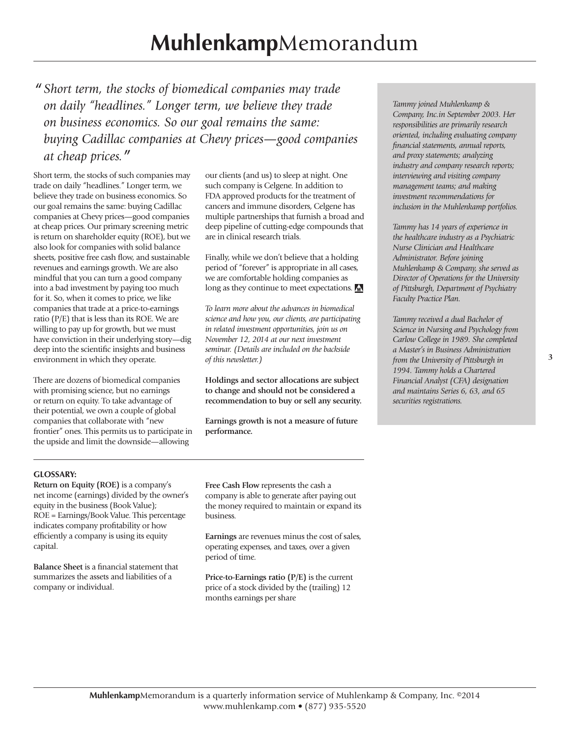*" Short term, the stocks of biomedical companies may trade on daily "headlines." Longer term, we believe they trade on business economics. So our goal remains the same: buying Cadillac companies at Chevy prices—good companies at cheap prices."*

Short term, the stocks of such companies may trade on daily "headlines." Longer term, we believe they trade on business economics. So our goal remains the same: buying Cadillac companies at Chevy prices—good companies at cheap prices. Our primary screening metric is return on shareholder equity (ROE), but we also look for companies with solid balance sheets, positive free cash flow, and sustainable revenues and earnings growth. We are also mindful that you can turn a good company into a bad investment by paying too much for it. So, when it comes to price, we like companies that trade at a price-to-earnings ratio (P/E) that is less than its ROE. We are willing to pay up for growth, but we must have conviction in their underlying story—dig deep into the scientific insights and business environment in which they operate.

There are dozens of biomedical companies with promising science, but no earnings or return on equity. To take advantage of their potential, we own a couple of global companies that collaborate with "new frontier" ones. This permits us to participate in the upside and limit the downside—allowing

our clients (and us) to sleep at night. One such company is Celgene. In addition to FDA approved products for the treatment of cancers and immune disorders, Celgene has multiple partnerships that furnish a broad and deep pipeline of cutting-edge compounds that are in clinical research trials.

Finally, while we don't believe that a holding period of "forever" is appropriate in all cases, we are comfortable holding companies as long as they continue to meet expectations.

*To learn more about the advances in biomedical science and how you, our clients, are participating in related investment opportunities, join us on November 12, 2014 at our next investment seminar. (Details are included on the backside of this newsletter.)*

**Holdings and sector allocations are subject to change and should not be considered a recommendation to buy or sell any security.**

**Earnings growth is not a measure of future performance.**

*Tammy joined Muhlenkamp & Company, Inc.in September 2003. Her responsibilities are primarily research oriented, including evaluating company industry and company research reports; investment recommendations for inclusion in the Muhlenkamp portfolios.* 

*Tammy has 14 years of experience in the healthcare industry as a Psychiatric Nurse Clinician and Healthcare Administrator. Before joining Muhlenkamp & Company, she served as Director of Operations for the University of Pittsburgh, Department of Psychiatry Faculty Practice Plan.* 

*Tammy received a dual Bachelor of Science in Nursing and Psychology from Carlow College in 1989. She completed a Master's in Business Administration from the University of Pittsburgh in 1994. Tammy holds a Chartered Financial Analyst (CFA) designation and maintains Series 6, 63, and 65 securities registrations.* 

#### **GLOSSARY:**

**Return on Equity (ROE)** is a company's net income (earnings) divided by the owner's equity in the business (Book Value); ROE = Earnings/Book Value. This percentage indicates company profitability or how efficiently a company is using its equity capital.

**Balance Sheet** is a financial statement that summarizes the assets and liabilities of a company or individual.

**Free Cash Flow** represents the cash a company is able to generate after paying out the money required to maintain or expand its business.

**Earnings** are revenues minus the cost of sales, operating expenses, and taxes, over a given period of time.

**Price-to-Earnings ratio (P/E)** is the current price of a stock divided by the (trailing) 12 months earnings per share

*financial statements, annual reports, and proxy statements; analyzing interviewing and visiting company management teams; and making* 

**Muhlenkamp**Memorandum is a quarterly information service of Muhlenkamp & Company, Inc. ©2014 www.muhlenkamp.com • (877) 935-5520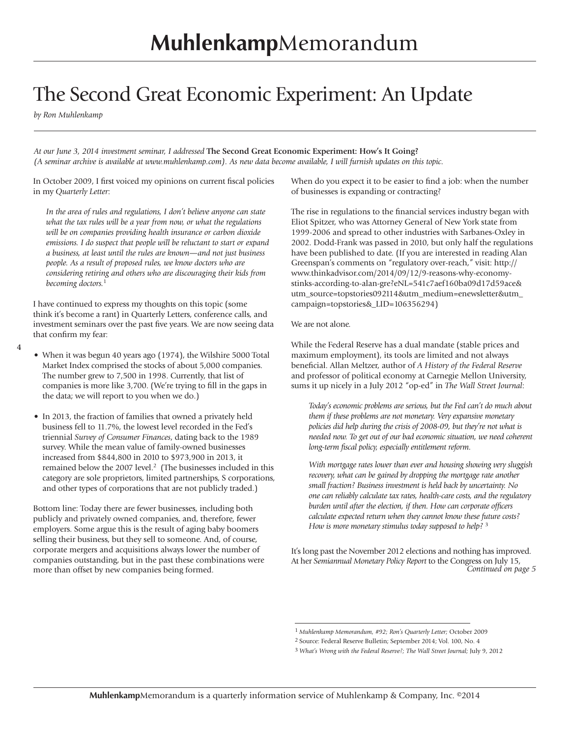### The Second Great Economic Experiment: An Update

*by Ron Muhlenkamp*

*At our June 3, 2014 investment seminar, I addressed* **The Second Great Economic Experiment: How's It Going?** *(A seminar archive is available at www.muhlenkamp.com). As new data become available, I will furnish updates on this topic.* 

In October 2009, I first voiced my opinions on current fiscal policies in my *Quarterly Letter*:

*In the area of rules and regulations, I don't believe anyone can state what the tax rules will be a year from now, or what the regulations will be on companies providing health insurance or carbon dioxide emissions. I do suspect that people will be reluctant to start or expand a business, at least until the rules are known—and not just business people. As a result of proposed rules, we know doctors who are considering retiring and others who are discouraging their kids from becoming doctors.*<sup>1</sup>

I have continued to express my thoughts on this topic (some think it's become a rant) in Quarterly Letters, conference calls, and investment seminars over the past five years. We are now seeing data that confirm my fear:

**4**

- When it was begun 40 years ago (1974), the Wilshire 5000 Total Market Index comprised the stocks of about 5,000 companies. The number grew to 7,500 in 1998. Currently, that list of companies is more like 3,700. (We're trying to fill in the gaps in the data; we will report to you when we do.)
- In 2013, the fraction of families that owned a privately held business fell to 11.7%, the lowest level recorded in the Fed's triennial *Survey of Consumer Finances*, dating back to the 1989 survey. While the mean value of family-owned businesses increased from \$844,800 in 2010 to \$973,900 in 2013, it remained below the 2007 level.<sup>2</sup> (The businesses included in this category are sole proprietors, limited partnerships, S corporations, and other types of corporations that are not publicly traded.)

Bottom line: Today there are fewer businesses, including both publicly and privately owned companies, and, therefore, fewer employers. Some argue this is the result of aging baby boomers selling their business, but they sell to someone. And, of course, corporate mergers and acquisitions always lower the number of companies outstanding, but in the past these combinations were more than offset by new companies being formed.

When do you expect it to be easier to find a job: when the number of businesses is expanding or contracting?

The rise in regulations to the financial services industry began with Eliot Spitzer, who was Attorney General of New York state from 1999-2006 and spread to other industries with Sarbanes-Oxley in 2002. Dodd-Frank was passed in 2010, but only half the regulations have been published to date. (If you are interested in reading Alan Greenspan's comments on "regulatory over-reach," visit: http:// www.thinkadvisor.com/2014/09/12/9-reasons-why-economystinks-according-to-alan-gre?eNL=541c7aef160ba09d17d59ace& utm\_source=topstories092114&utm\_medium=enewsletter&utm\_ campaign=topstories&\_LID=106356294)

We are not alone.

While the Federal Reserve has a dual mandate (stable prices and maximum employment), its tools are limited and not always beneficial. Allan Meltzer, author of *A History of the Federal Reserve* and professor of political economy at Carnegie Mellon University, sums it up nicely in a July 2012 "op-ed" in *The Wall Street Journal*:

*Today's economic problems are serious, but the Fed can't do much about them if these problems are not monetary. Very expansive monetary policies did help during the crisis of 2008-09, but they're not what is needed now. To get out of our bad economic situation, we need coherent long-term fiscal policy, especially entitlement reform.*

*With mortgage rates lower than ever and housing showing very sluggish*  recovery, what can be gained by dropping the mortgage rate another *small fraction? Business investment is held back by uncertainty. No one can reliably calculate tax rates, health-care costs, and the regulatory burden until after the election, if then. How can corporate officers calculate expected return when they cannot know these future costs? How is more monetary stimulus today supposed to help?* 3

*Continued on page 5* It's long past the November 2012 elections and nothing has improved. At her *Semiannual Monetary Policy Report* to the Congress on July 15,

<sup>1</sup> *Muhlenkamp Memorandum, #92; Ron's Quarterly Letter;* October 2009

<sup>2</sup> Source: Federal Reserve Bulletin; September 2014; Vol. 100, No. 4

<sup>3</sup> *What's Wrong with the Federal Reserve?; The Wall Street Journal;* July 9, 2012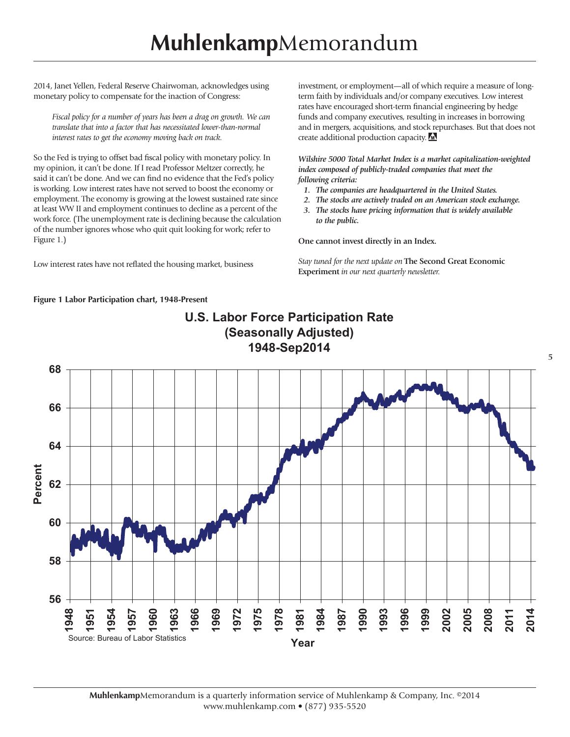2014, Janet Yellen, Federal Reserve Chairwoman, acknowledges using monetary policy to compensate for the inaction of Congress:

*Fiscal policy for a number of years has been a drag on growth. We can translate that into a factor that has necessitated lower-than-normal interest rates to get the economy moving back on track.*

So the Fed is trying to offset bad fiscal policy with monetary policy. In my opinion, it can't be done. If I read Professor Meltzer correctly, he said it can't be done. And we can find no evidence that the Fed's policy is working. Low interest rates have not served to boost the economy or employment. The economy is growing at the lowest sustained rate since at least WW II and employment continues to decline as a percent of the work force. (The unemployment rate is declining because the calculation of the number ignores whose who quit quit looking for work; refer to Figure 1.)

Low interest rates have not reflated the housing market, business

investment, or employment—all of which require a measure of longterm faith by individuals and/or company executives. Low interest rates have encouraged short-term financial engineering by hedge funds and company executives, resulting in increases in borrowing and in mergers, acquisitions, and stock repurchases. But that does not create additional production capacity.

*Wilshire 5000 Total Market Index is a market capitalization-weighted index composed of publicly-traded companies that meet the following criteria:*

- *1. The companies are headquartered in the United States.*
- *2. The stocks are actively traded on an American stock exchange.*
- *3. The stocks have pricing information that is widely available to the public.*

**One cannot invest directly in an Index.**

*Stay tuned for the next update on* **The Second Great Economic Experiment** *in our next quarterly newsletter.*

#### **Figure 1 Labor Participation chart, 1948-Present**



**U.S. Labor Force Participation Rate**